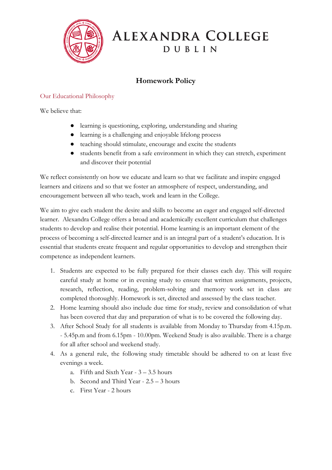

## ALEXANDRA COLLEGE DUBLIN

## **Homework Policy**

## Our Educational Philosophy

We believe that:

- learning is questioning, exploring, understanding and sharing
- learning is a challenging and enjoyable lifelong process
- teaching should stimulate, encourage and excite the students
- students benefit from a safe environment in which they can stretch, experiment and discover their potential

We reflect consistently on how we educate and learn so that we facilitate and inspire engaged learners and citizens and so that we foster an atmosphere of respect, understanding, and encouragement between all who teach, work and learn in the College.

We aim to give each student the desire and skills to become an eager and engaged self-directed learner. Alexandra College offers a broad and academically excellent curriculum that challenges students to develop and realise their potential. Home learning is an important element of the process of becoming a self-directed learner and is an integral part of a student's education. It is essential that students create frequent and regular opportunities to develop and strengthen their competence as independent learners.

- 1. Students are expected to be fully prepared for their classes each day. This will require careful study at home or in evening study to ensure that written assignments, projects, research, reflection, reading, problem-solving and memory work set in class are completed thoroughly. Homework is set, directed and assessed by the class teacher.
- 2. Home learning should also include due time for study, review and consolidation of what has been covered that day and preparation of what is to be covered the following day.
- 3. After School Study for all students is available from Monday to Thursday from 4.15p.m. - 5.45p.m and from 6.15pm - 10.00pm. Weekend Study is also available. There is a charge for all after school and weekend study.
- 4. As a general rule, the following study timetable should be adhered to on at least five evenings a week.
	- a. Fifth and Sixth Year 3 3.5 hours
	- b. Second and Third Year 2.5 3 hours
	- c. First Year 2 hours